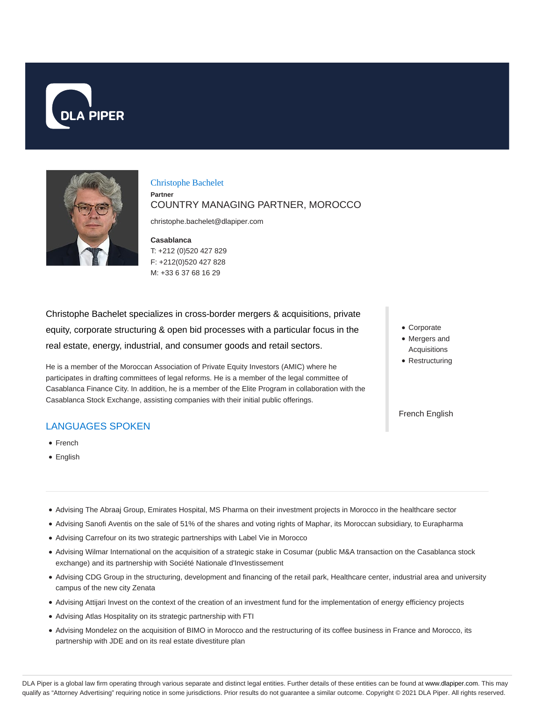



Christophe Bachelet **Partner** COUNTRY MANAGING PARTNER, MOROCCO

christophe.bachelet@dlapiper.com

**Casablanca** T: +212 (0)520 427 829 F: +212(0)520 427 828 M: +33 6 37 68 16 29

Christophe Bachelet specializes in cross-border mergers & acquisitions, private equity, corporate structuring & open bid processes with a particular focus in the real estate, energy, industrial, and consumer goods and retail sectors.

He is a member of the Moroccan Association of Private Equity Investors (AMIC) where he participates in drafting committees of legal reforms. He is a member of the legal committee of Casablanca Finance City. In addition, he is a member of the Elite Program in collaboration with the Casablanca Stock Exchange, assisting companies with their initial public offerings.

## LANGUAGES SPOKEN

- French
- English
- Corporate
- Mergers and Acquisitions
- Restructuring

French English

- Advising The Abraaj Group, Emirates Hospital, MS Pharma on their investment projects in Morocco in the healthcare sector
- Advising Sanofi Aventis on the sale of 51% of the shares and voting rights of Maphar, its Moroccan subsidiary, to Eurapharma
- Advising Carrefour on its two strategic partnerships with Label Vie in Morocco
- Advising Wilmar International on the acquisition of a strategic stake in Cosumar (public M&A transaction on the Casablanca stock exchange) and its partnership with Société Nationale d'Investissement
- Advising CDG Group in the structuring, development and financing of the retail park, Healthcare center, industrial area and university campus of the new city Zenata
- Advising Attijari Invest on the context of the creation of an investment fund for the implementation of energy efficiency projects
- Advising Atlas Hospitality on its strategic partnership with FTI
- Advising Mondelez on the acquisition of BIMO in Morocco and the restructuring of its coffee business in France and Morocco, its partnership with JDE and on its real estate divestiture plan

DLA Piper is a global law firm operating through various separate and distinct legal entities. Further details of these entities can be found at www.dlapiper.com. This may qualify as "Attorney Advertising" requiring notice in some jurisdictions. Prior results do not guarantee a similar outcome. Copyright © 2021 DLA Piper. All rights reserved.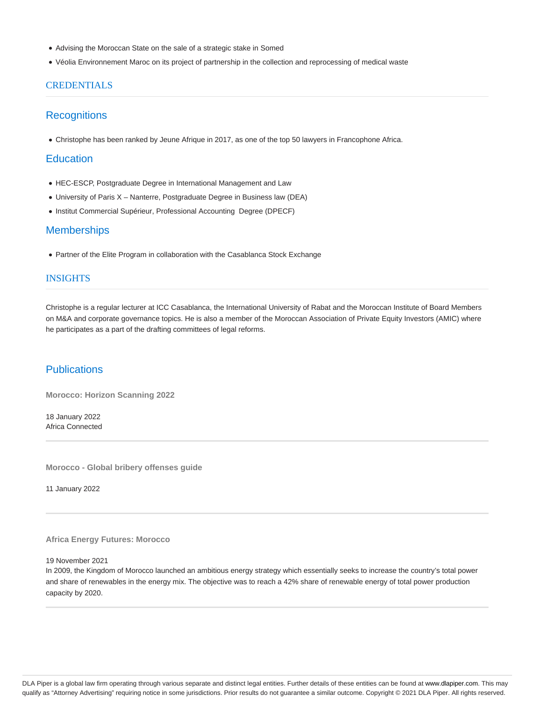- Advising the Moroccan State on the sale of a strategic stake in Somed
- Véolia Environnement Maroc on its project of partnership in the collection and reprocessing of medical waste

### **CREDENTIALS**

### **Recognitions**

Christophe has been ranked by Jeune Afrique in 2017, as one of the top 50 lawyers in Francophone Africa.

## **Education**

- HEC-ESCP, Postgraduate Degree in International Management and Law
- University of Paris X Nanterre, Postgraduate Degree in Business law (DEA)
- $\bullet$  Institut Commercial Supérieur, Professional Accounting Degree (DPECF)

## **Memberships**

Partner of the Elite Program in collaboration with the Casablanca Stock Exchange

### INSIGHTS

Christophe is a regular lecturer at ICC Casablanca, the International University of Rabat and the Moroccan Institute of Board Members on M&A and corporate governance topics. He is also a member of the Moroccan Association of Private Equity Investors (AMIC) where he participates as a part of the drafting committees of legal reforms.

## **Publications**

**Morocco: Horizon Scanning 2022**

18 January 2022 Africa Connected

**Morocco - Global bribery offenses guide**

11 January 2022

#### **Africa Energy Futures: Morocco**

19 November 2021

In 2009, the Kingdom of Morocco launched an ambitious energy strategy which essentially seeks to increase the country's total power and share of renewables in the energy mix. The objective was to reach a 42% share of renewable energy of total power production capacity by 2020.